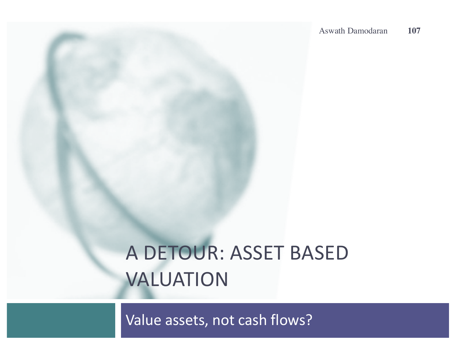# A DETOUR: ASSET BASED VALUATION

Value assets, not cash flows?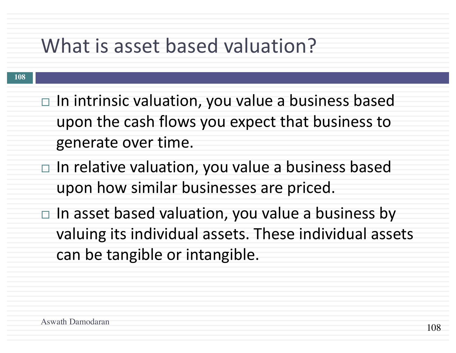## What is asset based valuation?

- $\Box$  In intrinsic valuation, you value a business based upon the cash flows you expect that business to generate over time.
- $\Box$  In relative valuation, you value a business based upon how similar businesses are priced.
- $\Box$  In asset based valuation, you value a business by valuing its individual assets. These individual assets can be tangible or intangible.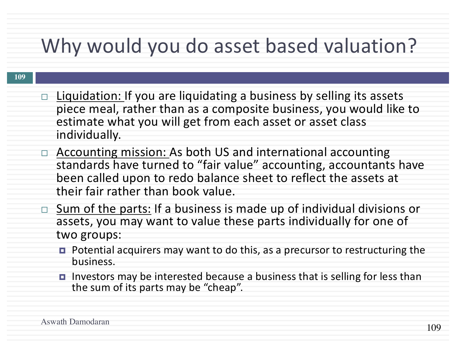# Why would you do asset based valuation?

- $\Box$  Liquidation: If you are liquidating a business by selling its assets piece meal, rather than as a composite business, you would like to estimate what you will get from each asset or asset class individually.
- Accounting mission: As both US and international accounting standards have turned to "fair value" accounting, accountants have been called upon to redo balance sheet to reflect the assets at their fair rather than book value.
- $\Box$  Sum of the parts: If a business is made up of individual divisions or assets, you may want to value these parts individually for one of two groups:
	- Potential acquirers may want to do this, as a precursor to restructuring the business.
	- Investors may be interested because a business that is selling for less than the sum of its parts may be "cheap".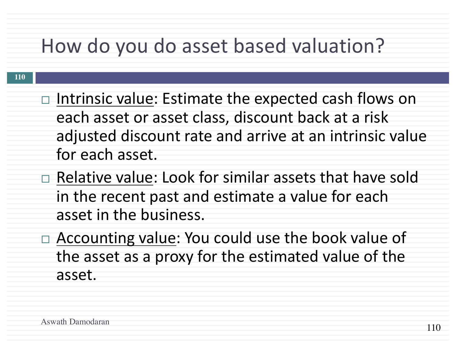## How do you do asset based valuation?

- $\Box$  Intrinsic value: Estimate the expected cash flows on each asset or asset class, discount back at a risk adjusted discount rate and arrive at an intrinsic value for each asset.
- $\Box$  Relative value: Look for similar assets that have sold in the recent past and estimate a value for each asset in the business.
	- $\Box$  Accounting value: You could use the book value of the asset as a proxy for the estimated value of the asset.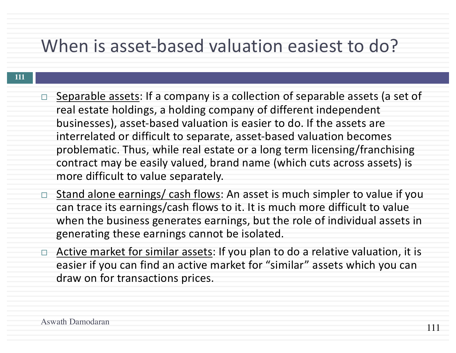## When is asset-based valuation easiest to do?

- Separable assets: If a company is a collection of separable assets (a set of real estate holdings, a holding company of different independent businesses), asset-based valuation is easier to do. If the assets are interrelated or difficult to separate, asset-based valuation becomes problematic. Thus, while real estate or a long term licensing/franchising contract may be easily valued, brand name (which cuts across assets) is more difficult to value separately.
- □ Stand alone earnings/ cash flows: An asset is much simpler to value if you can trace its earnings/cash flows to it. It is much more difficult to value when the business generates earnings, but the role of individual assets in generating these earnings cannot be isolated.
- $\Box$  Active market for similar assets: If you plan to do a relative valuation, it is easier if you can find an active market for "similar" assets which you can draw on for transactions prices.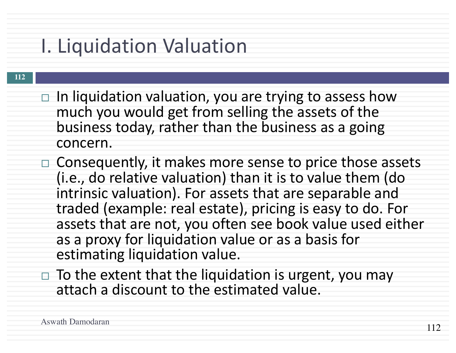# **I. Liquidation Valuation**

- $\Box$  In liquidation valuation, you are trying to assess how much you would get from selling the assets of the business today, rather than the business as a going concern.
- $\Box$  Consequently, it makes more sense to price those assets (i.e., do relative valuation) than it is to value them (do intrinsic valuation). For assets that are separable and traded (example: real estate), pricing is easy to do. For assets that are not, you often see book value used either as a proxy for liquidation value or as a basis for estimating liquidation value.
	- $\Box$  To the extent that the liquidation is urgent, you may attach a discount to the estimated value.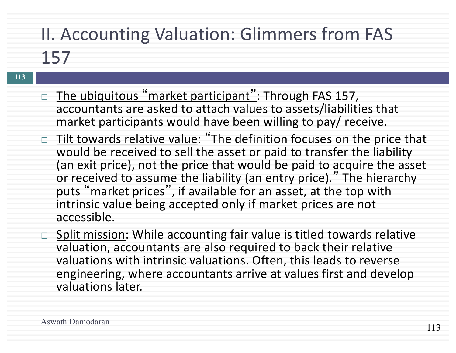## II. Accounting Valuation: Glimmers from FAS

- **113**
- $\Box$  The ubiquitous "market participant": Through FAS 157, accountants are asked to attach values to assets/liabilities that market participants would have been willing to pay/ receive.
- □ Tilt towards relative value: "The definition focuses on the price that would be received to sell the asset or paid to transfer the liability (an exit price), not the price that would be paid to acquire the asset or received to assume the liability (an entry price)." The hierarchy puts "market prices", if available for an asset, at the top with intrinsic value being accepted only if market prices are not accessible.
- □ Split mission: While accounting fair value is titled towards relative valuation, accountants are also required to back their relative valuations with intrinsic valuations. Often, this leads to reverse engineering, where accountants arrive at values first and develop valuations later.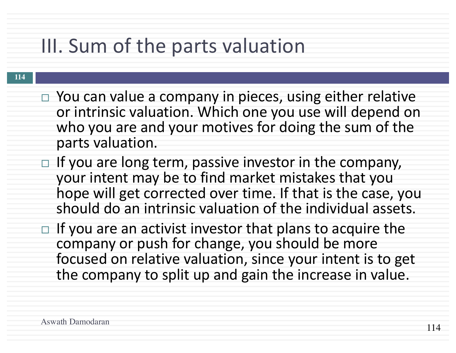# III. Sum of the parts valuation

- $\Box$  You can value a company in pieces, using either relative or intrinsic valuation. Which one you use will depend on who you are and your motives for doing the sum of the parts valuation.
- $\Box$  If you are long term, passive investor in the company, your intent may be to find market mistakes that you hope will get corrected over time. If that is the case, you should do an intrinsic valuation of the individual assets.
- $\Box$  If you are an activist investor that plans to acquire the company or push for change, you should be more focused on relative valuation, since your intent is to get the company to split up and gain the increase in value.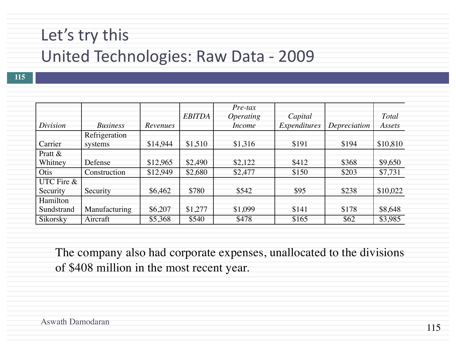### Let's try this

### United Technologies: Raw Data - 2009

**115**

|            |                 |          | <b>EBITDA</b> | $Pre$ -tax<br><i><b>Operating</b></i> | Capital      |              | Total    |
|------------|-----------------|----------|---------------|---------------------------------------|--------------|--------------|----------|
| Division   | <b>Business</b> | Revenues |               | <i>Income</i>                         | Expenditures | Depreciation | Assets   |
|            | Refrigeration   |          |               |                                       |              |              |          |
| Carrier    | systems         | \$14,944 | \$1,510       | \$1,316                               | \$191        | \$194        | \$10,810 |
| Pratt &    |                 |          |               |                                       |              |              |          |
| Whitney    | Defense         | \$12,965 | \$2,490       | \$2,122                               | \$412        | \$368        | \$9,650  |
| Otis       | Construction    | \$12,949 | \$2,680       | \$2,477                               | \$150        | \$203        | \$7,731  |
| UTC Fire & |                 |          |               |                                       |              |              |          |
| Security   | Security        | \$6,462  | \$780         | \$542                                 | \$95         | \$238        | \$10,022 |
| Hamilton   |                 |          |               |                                       |              |              |          |
| Sundstrand | Manufacturing   | \$6,207  | \$1,277       | \$1,099                               | \$141        | \$178        | \$8,648  |
| Sikorsky   | Aircraft        | \$5,368  | \$540         | \$478                                 | \$165        | \$62         | \$3,985  |

The company also had corporate expenses, unallocated to the divisions of \$408 million in the most recent year.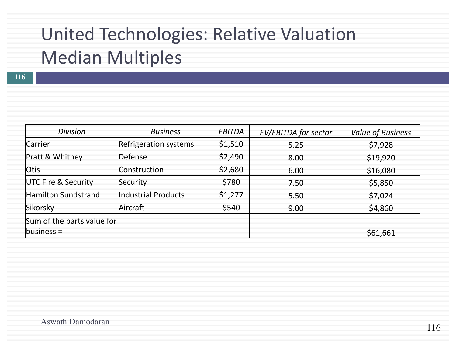## United Technologies: Relative Valuation Median Multiples

| <b>Division</b>                | <b>Business</b>              | EBITDA  | <b>EV/EBITDA for sector</b> | <b>Value of Business</b> |
|--------------------------------|------------------------------|---------|-----------------------------|--------------------------|
| Carrier                        | <b>Refrigeration systems</b> | \$1,510 | 5.25                        | \$7,928                  |
| Pratt & Whitney                | Defense                      | \$2,490 | 8.00                        | \$19,920                 |
| <b>Otis</b>                    | Construction                 | \$2,680 | 6.00                        | \$16,080                 |
| <b>UTC Fire &amp; Security</b> | Security                     | \$780   | 7.50                        | \$5,850                  |
| Hamilton Sundstrand            | Industrial Products          | \$1,277 | 5.50                        | \$7,024                  |
| Sikorsky                       | Aircraft                     | \$540   | 9.00                        | \$4,860                  |
| Sum of the parts value for     |                              |         |                             |                          |
| $ business =$                  |                              |         |                             | \$61,661                 |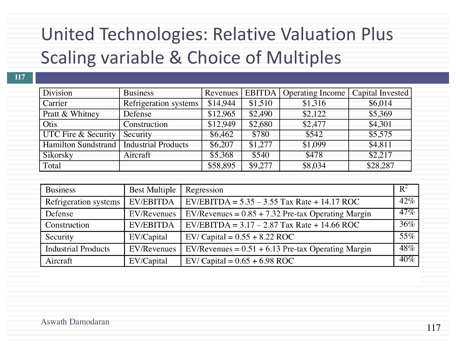## United Technologies: Relative Valuation Plus Scaling variable & Choice of Multiples

| 117                            |                                           |          |         |                                  |                  |
|--------------------------------|-------------------------------------------|----------|---------|----------------------------------|------------------|
| Division                       | <b>Business</b>                           | Revenues |         | <b>EBITDA</b>   Operating Income | Capital Invested |
| Carrier                        | Refrigeration systems                     | \$14,944 | \$1,510 | \$1,316                          | \$6,014          |
| Pratt & Whitney                | Defense                                   | \$12,965 | \$2,490 | \$2,122                          | \$5,369          |
| Otis                           | Construction                              | \$12,949 | \$2,680 | \$2,477                          | \$4,301          |
| <b>UTC Fire &amp; Security</b> | Security                                  | \$6,462  | \$780   | \$542                            | \$5,575          |
|                                | Hamilton Sundstrand   Industrial Products | \$6,207  | \$1,277 | \$1,099                          | \$4,811          |
| Sikorsky                       | Aircraft                                  | \$5,368  | \$540   | \$478                            | \$2,217          |
| Total                          |                                           | \$58,895 | \$9,277 | \$8,034                          | \$28,287         |

| <b>Business</b>            | <b>Best Multiple</b> | Regression                                           | $\mathbf{R}^2$ |
|----------------------------|----------------------|------------------------------------------------------|----------------|
| Refrigeration systems      | EV/EBITDA            | EV/EBITDA = $5.35 - 3.55$ Tax Rate + 14.17 ROC       | $42\%$         |
| Defense                    | EV/Revenues          | EV/Revenues = $0.85 + 7.32$ Pre-tax Operating Margin | $47\%$         |
| Construction               | <b>EV/EBITDA</b>     | $EV/EBITDA = 3.17 - 2.87$ Tax Rate + 14.66 ROC       | $36\%$         |
| Security                   | EV/Capital           | EV/ Capital = $0.55 + 8.22$ ROC                      | 55%            |
| <b>Industrial Products</b> | EV/Revenues          | $EV/Reverse = 0.51 + 6.13$ Pre-tax Operating Margin  | 48%            |
| Aircraft                   | EV/Capital           | EV/ Capital = $0.65 + 6.98$ ROC                      | $40\%$         |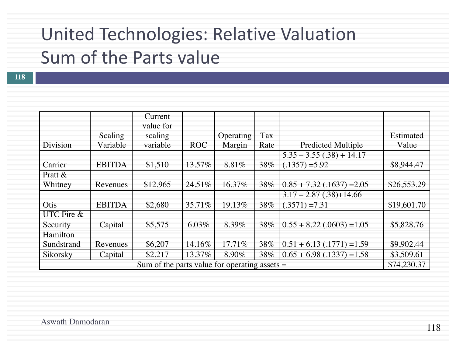## United Technologies: Relative Valuation

### Sum of the Parts value

|            |                                                                | Current              |            |           |      |                              |             |  |
|------------|----------------------------------------------------------------|----------------------|------------|-----------|------|------------------------------|-------------|--|
|            | Scaling                                                        | value for<br>scaling |            | Operating | Tax  |                              | Estimated   |  |
| Division   | Variable                                                       | variable             | <b>ROC</b> | Margin    | Rate | <b>Predicted Multiple</b>    | Value       |  |
|            |                                                                |                      |            |           |      | $5.35 - 3.55(.38) + 14.17$   |             |  |
| Carrier    | <b>EBITDA</b>                                                  | \$1,510              | 13.57%     | 8.81%     | 38%  | $(.1357) = 5.92$             | \$8,944.47  |  |
| Pratt $\&$ |                                                                |                      |            |           |      |                              |             |  |
| Whitney    | Revenues                                                       | \$12,965             | 24.51\%    | 16.37%    | 38%  | $0.85 + 7.32$ (.1637) = 2.05 | \$26,553.29 |  |
|            |                                                                |                      |            |           |      | $3.17 - 2.87(.38) + 14.66$   |             |  |
| Otis       | <b>EBITDA</b>                                                  | \$2,680              | 35.71\%    | 19.13%    | 38%  | $(.3571) = 7.31$             | \$19,601.70 |  |
| UTC Fire & |                                                                |                      |            |           |      |                              |             |  |
| Security   | Capital                                                        | \$5,575              | $6.03\%$   | 8.39%     | 38%  | $0.55 + 8.22$ (.0603) = 1.05 | \$5,828.76  |  |
| Hamilton   |                                                                |                      |            |           |      |                              |             |  |
| Sundstrand | Revenues                                                       | \$6,207              | 14.16%     | 17.71\%   | 38%  | $0.51 + 6.13$ (.1771) = 1.59 | \$9,902.44  |  |
| Sikorsky   | Capital                                                        | \$2,217              | 13.37%     | $8.90\%$  | 38%  | $0.65 + 6.98$ (.1337) = 1.58 | \$3,509.61  |  |
|            | \$74,230.37<br>Sum of the parts value for operating assets $=$ |                      |            |           |      |                              |             |  |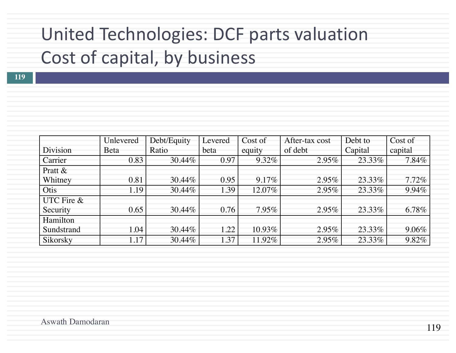# United Technologies: DCF parts valuation Cost of capital, by business

|            | Unlevered    | Debt/Equity | Levered | Cost of  | After-tax cost | Debt to | Cost of  |
|------------|--------------|-------------|---------|----------|----------------|---------|----------|
| Division   | <b>B</b> eta | Ratio       | beta    | equity   | of debt        | Capital | capital  |
| Carrier    | 0.83         | 30.44%      | 0.97    | $9.32\%$ | $2.95\%$       | 23.33%  | $7.84\%$ |
| Pratt $\&$ |              |             |         |          |                |         |          |
| Whitney    | 0.81         | 30.44%      | 0.95    | 9.17%    | $2.95\%$       | 23.33%  | 7.72%    |
| Otis       | 1.19         | 30.44%      | 1.39    | 12.07%   | $2.95\%$       | 23.33%  | 9.94%    |
| UTC Fire & |              |             |         |          |                |         |          |
| Security   | 0.65         | 30.44%      | 0.76    | $7.95\%$ | $2.95\%$       | 23.33%  | $6.78\%$ |
| Hamilton   |              |             |         |          |                |         |          |
| Sundstrand | 1.04         | 30.44%      | 1.22    | 10.93%   | $2.95\%$       | 23.33%  | 9.06%    |
| Sikorsky   | 1.17         | 30.44%      | 1.37    | 11.92%   | $2.95\%$       | 23.33%  | $9.82\%$ |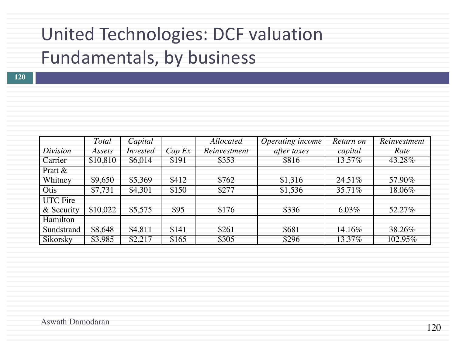# United Technologies: DCF valuation Fundamentals, by business

|  | -- |  |
|--|----|--|
|  |    |  |

|                 | Total    | Capital         |        | <b>Allocated</b> | Operating income | Return on | Reinvestment |
|-----------------|----------|-----------------|--------|------------------|------------------|-----------|--------------|
| Division        | Assets   | <i>Invested</i> | Cap Ex | Reinvestment     | after taxes      | capital   | Rate         |
| Carrier         | \$10,810 | \$6,014         | \$191  | \$353            | \$816            | 13.57%    | 43.28%       |
| Pratt &         |          |                 |        |                  |                  |           |              |
| Whitney         | \$9,650  | \$5,369         | \$412  | \$762            | \$1,316          | 24.51\%   | 57.90%       |
| Otis            | \$7,731  | \$4,301         | \$150  | \$277            | \$1,536          | 35.71\%   | 18.06%       |
| <b>UTC</b> Fire |          |                 |        |                  |                  |           |              |
| & Security      | \$10,022 | \$5,575         | \$95   | \$176            | \$336            | $6.03\%$  | 52.27%       |
| Hamilton        |          |                 |        |                  |                  |           |              |
| Sundstrand      | \$8,648  | \$4,811         | \$141  | \$261            | \$681            | 14.16%    | 38.26%       |
| Sikorsky        | \$3,985  | \$2,217         | \$165  | \$305            | \$296            | 13.37%    | 102.95%      |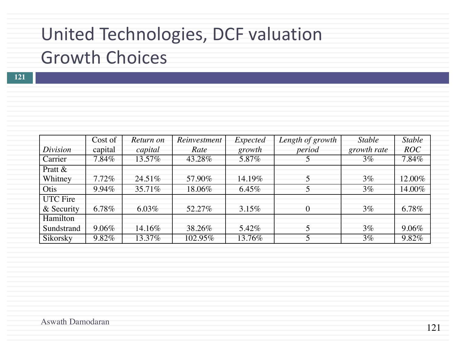# United Technologies, DCF valuation **Growth Choices**

|                               | Cost of  | Return on | Reinvestment | Expected | Length of growth | <b>Stable</b> | <b>Stable</b> |
|-------------------------------|----------|-----------|--------------|----------|------------------|---------------|---------------|
| Division                      | capital  | capital   | Rate         | growth   | period           | growth rate   | <b>ROC</b>    |
| Carrier                       | $7.84\%$ | 13.57%    | 43.28%       | 5.87%    |                  | $3\%$         | $7.84\%$      |
| Pratt $\&$<br>Whitney         | $7.72\%$ | $24.51\%$ | 57.90%       | 14.19%   |                  | $3\%$         | 12.00%        |
| Otis                          | $9.94\%$ | $35.71\%$ | 18.06%       | $6.45\%$ |                  | $3\%$         | 14.00%        |
| <b>UTC</b> Fire<br>& Security | $6.78\%$ | $6.03\%$  | 52.27%       | $3.15\%$ | $\Omega$         | $3\%$         | $6.78\%$      |
| Hamilton                      |          |           |              |          |                  |               |               |
| Sundstrand                    | $9.06\%$ | 14.16%    | 38.26%       | 5.42%    |                  | $3\%$         | $9.06\%$      |
| Sikorsky                      | 9.82%    | 13.37%    | 102.95%      | 13.76%   |                  | $3\%$         | $9.82\%$      |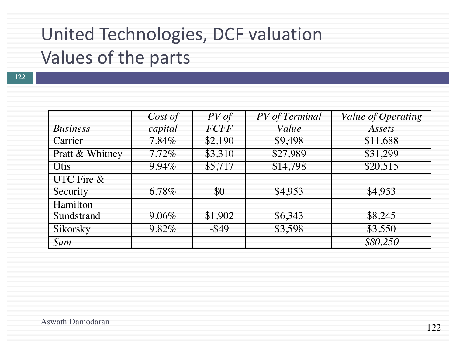## United Technologies, DCF valuation

## Values of the parts

|                 | Cost of  | $PV$ of     | PV of Terminal | Value of Operating |
|-----------------|----------|-------------|----------------|--------------------|
| <b>Business</b> | capital  | <b>FCFF</b> | Value          | Assets             |
| Carrier         | $7.84\%$ | \$2,190     | \$9,498        | \$11,688           |
| Pratt & Whitney | $7.72\%$ | \$3,310     | \$27,989       | \$31,299           |
| Otis            | $9.94\%$ | \$5,717     | \$14,798       | \$20,515           |
| UTC Fire &      |          |             |                |                    |
| Security        | 6.78%    | \$0         | \$4,953        | \$4,953            |
| Hamilton        |          |             |                |                    |
| Sundstrand      | $9.06\%$ | \$1,902     | \$6,343        | \$8,245            |
| Sikorsky        | 9.82%    | $-$ \$49    | \$3,598        | \$3,550            |
| <i>Sum</i>      |          |             |                | \$80,250           |